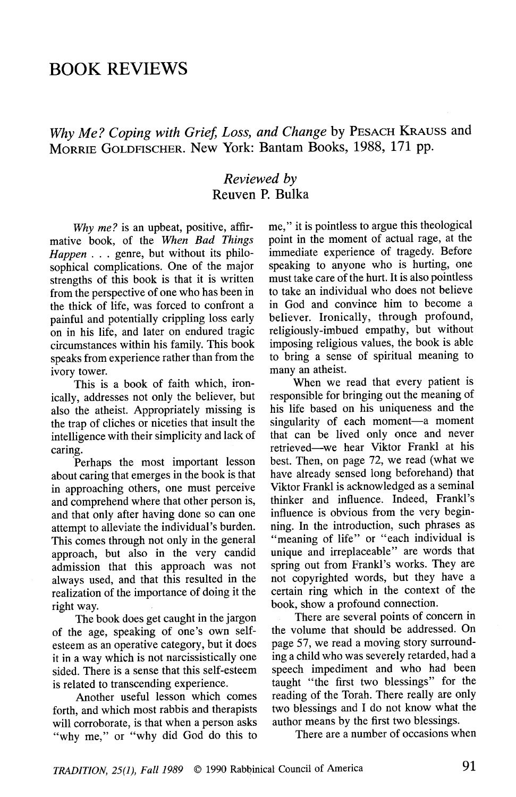# BOOK REVIEWS

## Why Me? Coping with Grief, Loss, and Change by PESACH KRAUSS and MORRIE GOLDFlSCHER. New York: Bantam Books, 1988, 171 pp.

#### Reviewed by Reuven P. Bulka

Why me? is an upbeat, positive, affirmative book, of the When Bad Things Happen . . . genre, but without its philosophical complications. One of the major strengths of this book is that it is written from the perspective of one who has been in the thick of life, was forced to confront a painful and potentially crippling loss carty on in his life, and later on endured tragic circumstances within his family. This book speaks from experience rather than from the ivory tower.

This is a book of faith which, ironically, addresses not only the believer, but also the atheist. Appropriately missing is the trap of cliches or niceties that insult the intelligence with their simplicity and lack of caring.

.Perhaps the most important lesson about caring that emerges in the book is that in approaching others, one must perceive and comprehend where that other person is, and that only after having done so can one attempt to alleviate the individual's burden. This comes through not only in the general approach, but also in the very candid admission that this approach was not always used, and that this resulted in the realization of the importance of doing it the right way.

The book docs get caught in the jargon of the age, speaking of one's own selfesteem as an operative category, but it does it in a way which is not narcissistically one sided. There is a sense that this self-esteem is related to transcending experience.

Another useful lesson which comes forth, and which most rabbis and therapists will corroborate, is that when a person asks "why me," or "why did God do this to me," it is pointless to argue this theological point in the moment of actual rage, at the immediate experience of tragedy. Before speaking to anyone who is hurting, one must take care of the hurt. It is also pointless to take an individual who docs not believe in God and convince him to become a believer. Ironically, through profound, religiously-imbued empathy, but without imposing religious values, the book is able to bring a sense of spiritual meaning to many an atheist.

When we read that every patient is responsible for bringing out the meaning of his life based on his uniqueness and the singularity of each moment-a moment that can be lived only once and never retrieved-we hear Viktor Frankl at his best. Then, on page 72, we read (what we have already sensed long beforehand) that Viktor Frankl is acknowledged as a seminal thinker and influence. Indeed, Frankl's influence is obvious from the very beginning. In the introduction, such phrases as "meaning of life" or "each individual is unique and irreplaceable" arc words that spring out from Frankl's works. They are not copyrighted words, but they have a certain ring which in the context of the book, show a profound connection.

There are several points of concern in the volume that should be addressed. On page 57, we read a moving story surrounding a child who was severely retarded, had a speech impediment and who had been taught "the first two blessings" for the reading of the Torah. There really are only two blessings and I do not know what the author means by the first two blessings.

There are a number of occasions when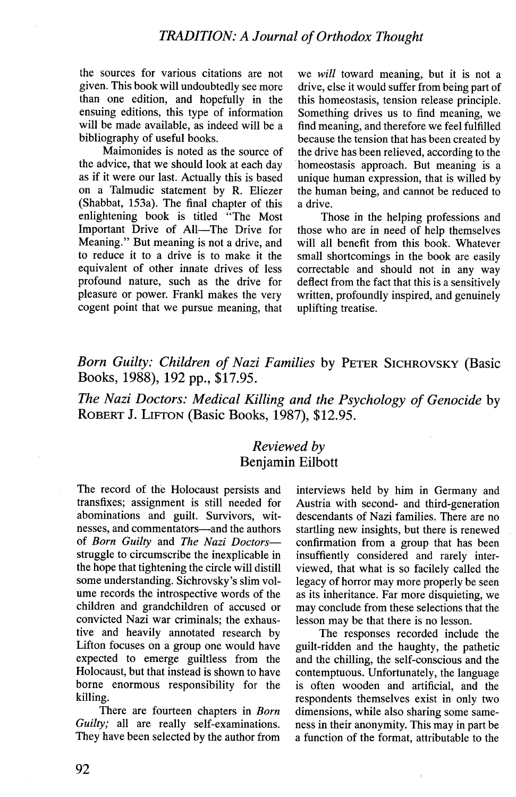#### TRADITION: A Journal of Orthodox Thought

the sources for various citations are not given. This book will undoubtedly see more than one edition, and hopefully in the ensuing editions, this type of information will be made available, as indeed will be a bibliography of useful books.

Maimonides is noted as the source of the advice, that we should look at each day as if it were our last. Actually this is based on a Talmudic statement by R. Eliczer (Shabbat, 153a). The final chapter of this enlightening book is titled "The Most Important Drive of All-The Drive for Meaning." But meaning is not a drive, and to reduce it to a drive is to make it the equivalent of other innate drives of less profound nature, such as the drive for pleasure or power. Frankl makes the very cogent point that we pursue meaning, that we will toward meaning, but it is not a drive, else it would suffer from being part of this homeostasis, tension release principle. Something drives us to find meaning, we find meaning, and therefore we feel fulfilled because the tension that has been created by the drive has been relieved, according to the homeostasis approach. But meaning is a unique human expression, that is willed by the human being, and cannot be reduced to a drive.

Those in the helping professions and those who arc in need of help themselves will all benefit from this book. Whatever small shortcomings in the book are easily correctable and should not in any way deflect from the fact that this is a sensitively written, profoundly inspired, and genuinely uplifting treatise.

## Born Guilty: Children of Nazi Families by PETER SICHROVSKY (Basic Books, 1988), 192 pp., \$17.95.

The Nazi Doctors: Medical Killing and the Psychology of Genocide by ROBERT J. LIFTON (Basic Books, 1987), \$12.95.

#### Reviewed by Benjamin Eilbott

The record of the Holocaust persists and transfixes; assignment is still needed for abominations and guilt. Survivors, witnesses, and commentators-and the authors of Born Guilty and The Nazi Doctorsstruggle to circumscribe the inexplicable in the hope that tightening the circle wil distill some understanding. Sichrovsky's slim volume rccords the introspective words of the children and grandchildren of accused or convicted Nazi war criminals; the exhaustive and heavily annotated research by Lifton focuses on a group onc would have expected to emerge guiltless from the Holocaust, but that instead is shown to have borne enormous responsibility for the killing.

There are fourteen chapters in Born Guilty; all are really self-examinations. They have been selected by the author from interviews held by him in Germany and Austria with second- and third-generation descendants of Nazi families. There are no startling new insights, but there is renewed confirmation from a group that has been insuffiently considered and rarely interviewed, that what is so facilely called the legacy of horror may more properly be seen as its inheritance. Far more disquieting, we may conclude from these selections that the lesson may be that there is no lesson.

The responses recorded include the guilt-ridden and the haughty, the pathetic and the chiling, the self-conscious and the contemptuous. Unfortunately, the language is often wooden and artificial, and the respondents themselves exist in only two dimensions, while also sharing some sameness in their anonymity. This may in part be a function of the format, attributable to the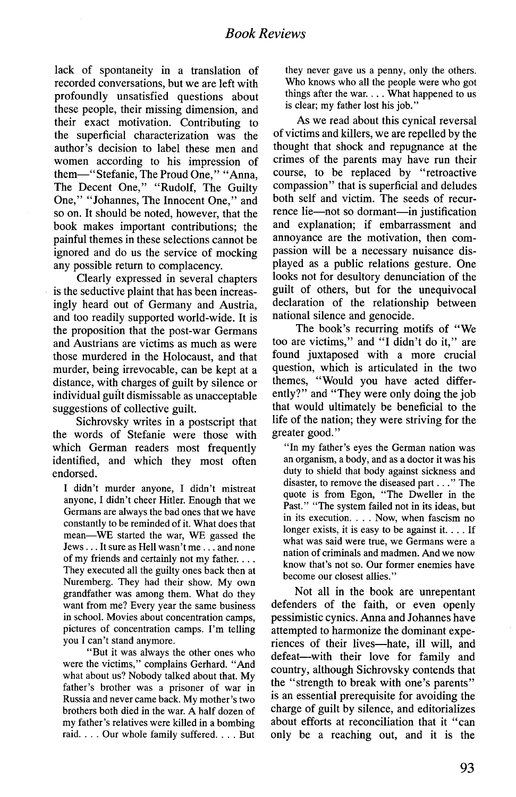lack of spontaneity in a translation of recorded conversations, but we arc left with profoundly unsatisfied questions about these people, their missing dimension, and their exact motivation. Contributing to the superficial characterization was the author's decision to label these men and women according to his impression of them-"Stefanic, The Proud One," "Anna, The Decent One," "Rudolf, The Guilty One," "Johannes, The Innocent One," and so on. It should be noted, however, that the book makes important contributions; the painful themes in these selections cannot be ignored and do us the service of mocking any possible return to complacency.

Clearly expressed in several chapters is the seductive plaint that has been increasingly heard out of Germany and Austria, and too readily supported world-wide. It is the proposition that the post-war Germans and Austrians are victims as much as were those murdered in the Holocaust, and that murder, being irrevocable, can be kept at a distance, with charges of guilt by silence or individual guilt dismissable as unacceptable suggestions of collective guilt.

Sichrovsky writes in a postscript that the words of Stefanie were those with which German readers most frequently identified, and which they most often endorsed.

I didn't murder anyone, I didn't mistreat anyone, I didn't cheer Hitler. Enough that we Germans are always the bad ones that we have constantly to be reminded of it. What does that mean-WE started the war, WE gassed the Jews... It sure as Hell wasn't me... and none of my friends and certainly not my father. . They executed all the guilty ones back then at Nuremberg. They had their show. My own grandfather was among them. What do they want from me? Every year the same business in school. Movies about concentration camps, pictures of concentration camps. I'm telling you I can't stand anymore.

"But it was always the other ones who were the victims," complains Gerhard. "And what about us? Nobody talked about thai. My father's brother was a prisoner of war in Russia and never came back. My mother's two brothers both died in the war. A half dozen of my father's relatives were kîled in a bombing raid. . . . Our whole family suffered. . . . But

they never gave us a penny, only the others. Who knows who all the people were who got things after the war. . . . What happened to us is clear; my father lost his job."

As we read about this cynical reversal of victims and kilers, we are repelled by the thought that shock and repugnance at the crimes of the parents may have run their course, to be replaced by "retroactive compassion" that is superficial and deludes both self and victim. The seeds of recurrence lie-not so dormant-in justification and explanation; if embarrassment and annoyance are the motivation, then compassion will be a necessary nuisance displayed as a public relations gesture. One looks not for desultory denunciation of the guilt of others, but for the unequivocal declaration of the relationship between national silence and genocide.

The book's recurring motifs of "We too are victims," and "I didn't do it," are found juxtaposed with a more crucial question, which is articulated in the two themes, "Would you have acted differently?" and "They were only doing the job that would ultimately be beneficial to the life of the nation; they were striving for the greater good."

"In my father's eyes the German nation was an organism, a body, and as a doctor it was his duty to shield that body against sickness and disaster, to remove the diseased part. . ." The quote is from Egon, "The Dweller in the Past." "The system failed not in its ideas, but in its execution. . . . Now, when fascism no longer exists, it is easy to be against it. . . . If what was said were true, we Germans were a nation of criminals and madmen. And we now know that's not so. Our former enemies have become our closest allies."

Not all in the book are unrepentant defenders of the faith, or even openly pessimistic cynics. Anna and Johannes have attempted to harmonize the dominant experiences of their lives-hate, ill will, and defeat-with their love for family and country, although Sichrovsky contends that the "strength to break with one's parents" is an essential prerequisite for avoiding the charge of guilt by silence, and editorializes about efforts at reconciliation that it "can only be a reaching out, and it is the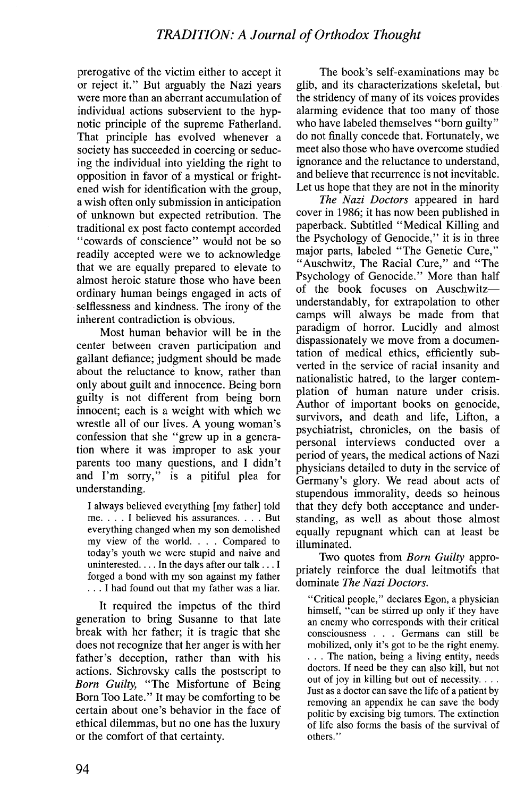prerogative of the victim either to accept it or reject it." But arguably the Nazi years were more than an aberrant accumulation of individual actions subservient to the hypnotic principle of the supreme Fatherland. That principle has evolved whenever a society has succeeded in coercing or seducing the individual into yielding the right to opposition in favor of a mystical or frightened wish for identification with the group, a wish often only submission in anticipation of unknown but expected retribution. The traditional ex post facto contempt accorded "cowards of conscience" would not be so readily accepted were we to acknowledge that we are equally prepared to elevate to almost heroic stature those who have been ordinary human beings engaged in acts of selflessness and kindness. The irony of the inherent contradiction is obvious.

Most human behavior will be in the center between craven participation and gallant defiance; judgment should be made about the reluctance to know, rather than only about guilt and innocence. Being born guilty is not different from being born innocent; each is a weight with which we wrestle all of our lives. A young woman's confession that she" grew up in a generation where it was improper to ask your parents too many questions, and I didn't and I'm sorry," is a pitiful plea for understanding.

I always believed everything [my father] told me. . . . I believed his assurances. . . . But everything changed when my son demolished my view of the world. . . . Compared to today's youth we were stupid and naive and uninterested.  $\dots$  In the days after our talk  $\dots$  I forged a bond with my son against my father . . . I had found out that my father was a liar.

It required the impetus of the third generation to bring Susanne to that late break with her father; it is tragic that she docs not recognize that her anger is with her father's deception, rather than with his actions. Sichrovsky calls the postscript to Born Guilty, "The Misfortune of Being Born Too Late." It may be comforting to be certain about one's behavior in the face of ethical dilemmas, but no one has the luxury or the comfort of that certainty.

The book's self-examinations may be glib, and its characterizations skeletal, but the stridency of many of its voices provides alarming evidence that too many of those who have labeled themselves "born guilty" do not finally concede that. Fortunately, we meet also those who have overcome studied ignorance and the reluctance to understand, and believe that recurrence is not inevitable. Let us hope that they are not in the minority

The Nazi Doctors appeared in hard cover in 1986; it has now been published in paperback. Subtitled" Medical Killing and the Psychology of Genocide," it is in three major parts, labeled "The Genetic Cure," "Auschwitz, The Racial Cure," and "The Psychology of Genocide." More than half of the book focuses on Auschwitzunderstandably, for extrapolation to other camps will always be made from that paradigm of horror. Lucidly and almost dispassionately we move from a documentation of medical ethics, efficiently subverted in the service of racial insanity and nationalistic hatred, to the larger contemplation of human nature under crisis. Author of important books on genocide, survivors, and death and life, Lifton, a psychiatrist, chronicles, on the basis of personal interviews conducted over a period of years, the medical actions of Nazi physicians detailed to duty in the service of Germany's glory. We read about acts of stupendous immorality, deeds so heinous that they defy both acceptance and understanding, as well as about those almost equally repugnant which can at least he illuminated.

Two quotes from *Born Guilty* appropriately reinforce the dual leitmotifs that dominate The Nazi Doctors.

"Critical people," declares Egon, a physician himself, "can be stirred up only if they have an enemy who corresponds with their critical consciousness . . . Germans can still be mobilzed, only it's got to be the right enemy. . . . The nation, being a living entity, needs doctors. If need be they can also kil, but not out of joy in kiling but out of necessity. . Just as a doctor can save the life of a patient by removing an appendix he can save the body politic by excising big tumors. The extinction of life also forms the basis of the survival of others."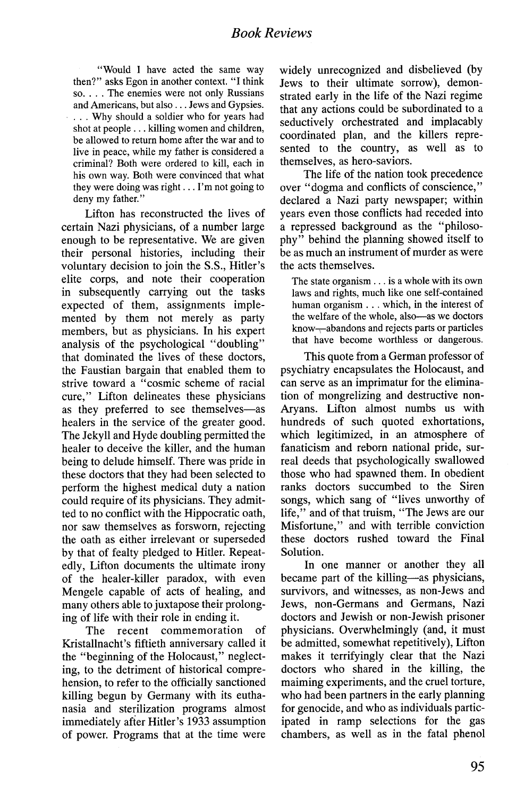#### Book Reviews

"Would I have acted the same way then?" asks Egon in another context. "I think so. . . . The enemies were not only Russians and Americans, but also. . . Jews and Gypsies. ... Why should a soldier who for years had shot at people. . . kiling women and children, be allowed to return home after the war and to live in peace, while my father is considered a criminal? Both were ordered to kill, each in his own way. Both were convinced that what they were doing was right... I'm not going to deny my father."

Lifton has reconstructed the lives of certain Nazi physicians, of a number large enough to be representative. We are given their personal histories, including their voluntary decision to join the S.S., Hitler's elite corps, and note their cooperation in subsequently carrying out the tasks expected of them, assignments implemented by them not merely as party members, but as physicians. In his expert analysis of the psychological "doubling" that dominated the lives of these doctors, the Faustian bargain that enabled them to strive toward a "cosmic scheme of racial cure," Lifton delineates these physicians as they preferred to see themselves-as healers in the service of the greater good. The Jekyll and Hyde doubling permitted the healer to deceive the kiler, and the human being to delude himself. There was pride in these doctors that they had been selected to perform the highest medical duty a nation could require of its physicians. They admitted to no conflict with the Hippocratic oath, nor saw themselves as forsworn, rejecting the oath as either irrelevant or superseded by that of fealty pledged to Hitler. Repeatedly, Lifton documents the ultimate irony of the healer-killer paradox, with even Mengelc capable of acts of healing, and many others able to juxtapose their prolonging of life with their role in ending it.

The recent commemoration of Kristallnacht's fìftieth anniversary called it the "beginning of the Holocaust," neglecting, to the detriment of historical comprehension, to refer to the officially sanctioned kiling begun by Germany with its euthanasia and sterilization programs almost immediately after Hitler's 1933 assumption of power. Programs that at the time were widely unrecognized and disbelieved (by Jews to their ultimate sorrow), demonstrated early in the life of the Nazi regime that any actions could be subordinated to a seductively orchestrated and implacably coordinated plan, and the killers represented to the country, as well as to themselves, as hero-saviors.

The life of the nation took precedence over "dogma and conflicts of conscience," declared a Nazi party newspaper; within years even those conflicts had receded into a repressed background as the "philosophy" behind the planning showed itself to be as much an instrument of murder as were the acts themselves.

The state organism. . . is a whole with its own laws and rights, much like one self-contained human organism. . . which, in the interest of the welfare of the whole, also-as we doctors know--ahandons and rejects parts or particles that have become worthless or dangerous.

This quote from a German professor of psychiatry encapsulates the Holocaust, and can serve as an imprimatur for the elimination of mongrelizing and destructive non-Aryans. Lifton almost numbs us with hundreds of such quoted exhortations, which legitimized, in an atmosphere of fanaticism and reborn national pride, surreal deeds that psychologically swallowed those who had spawned them. In obedient ranks doctors succumbed to the Siren songs, which sang of "lives unworthy of life," and of that truism, "The Jews are our Misfortune," and with terrible conviction these doctors rushed toward the Final Solution.

In one manner or another they all became part of the killing-as physicians, survivors, and witnesses, as non-Jews and Jews, non-Germans and Germans, Nazi doctors and Jewish or non-Jewish prisoner physicians. Overwhelmingly (and, it must be admitted, somewhat repetitively), Lifton makes it terrifyingly clear that the Nazi doctors who shared in the kiling, the maiming experiments, and the cruel torture, who had been partners in the early planning for genocide, and who as individuals participated in ramp selections for the gas chambers, as well as in the fatal phenol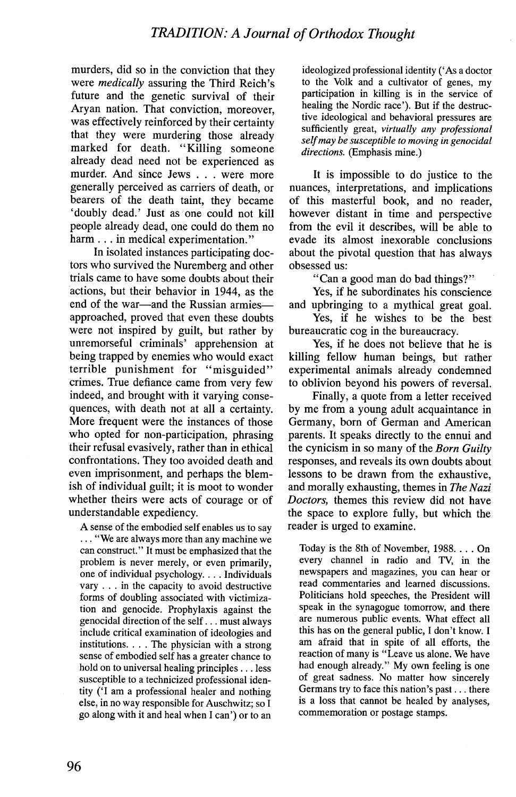murders, did so in the conviction that they were medically assuring the Third Reich's future and the genetic survival of their Aryan nation. That conviction, moreover, was effectively reinforced by their certainty that they were murdering those already marked for death. "Killing someone already dead need not be experienced as murder. And since Jews . . . were more generally perceived as carriers of death, or bearers of the death taint, they became 'doubly dead.' Just as one could not kil people already dead, one could do them no harm . . . in medical experimentation."

In isolated instances participating doctors who survived the Nuremberg and other trials came to have some doubts about their actions, but their behavior in 1944, as the end of the war-and the Russian armiesapproached, proved that even these doubts were not inspired by guilt, but rather by unremorseful criminals' apprehension at being trapped by enemies who would exact terrible punishment for "misguided" crimes. True defiance came from very few indeed, and brought with it varying consequences, with death not at all a certainty. More frequent were the instances of those who opted for non-participation, phrasing their refusal evasively, rather than in ethical confrontations. They too avoided death and even imprisonment, and perhaps the blemish of individual guilt; it is moot to wonder whether theirs were acts of courage or of understandable expediency.

A sense of the embodied self enables us to say . . . "We arc always more than any machine we can construct." It must be emphasized that the problem is never merely, or even primarily, one of individual psychology. . . . Individuals  $vary$ ... in the capacity to avoid destructive forms of doubling associated with victimization and genocide. Prophylaxis against the genocidal direction of the self. . . must always include critical examination of ideologies and institutions. . The physician with a strong sense of embodied self has a greater chance to hold on to universal healing principles. . . less susceptible to a technicized professional identity ('I am a professional healer and nothing else, in no way responsible for Auschwitz; so I go along with it and heal when I can') or to an

ideologized professional identity ('As a doctor to the Yolk and a cultivator of genes, my participation in killing is in the service of healing the Nordic race'). But if the destructive ideological and behavioral pressures are sufficiently great, virtually any professional self may be susceptible to moving in genocidal directions. (Emphasis mine.)

It is impossible to do justice to the nuances, interpretations, and implications of this masterful book, and no reader, however distant in time and perspective from the evil it describes, will be able to evade its almost inexorable conclusions about the pivotal question that has always obsessed us:

"Can a good man do bad things?"

Yes, if he subordinates his conscience and upbringing to a mythical great goal.

Yes, if he wishes to be the best bureaucratic cog in the bureaucracy.

Yes, if he does not believe that he is kiling fellow human beings, but rather experimental animals already condemned to oblivion beyond his powers of reversaL.

Finally, a quote from a letter received by me from a young adult acquaintance in Germany, born of German and American parents. It speaks directly to the ennui and the cynicism in so many of the Born Guilty responses, and reveals its own doubts about lessons to be drawn from the exhaustive, and morally exhausting, themes in The Nazi Doctors, themes this review did not have the space to explore fully, but which the reader is urged to examine.

Today is the 8th of November, 1988. . . . On every channel in radio and TV, in the newspapers and magazines, you can hear or read commentaries and learned discussions. Politicians hold speeches, the President will speak in the synagogue tomorrow, and there are numerous public events. What effect all this has on the general public, I don't know. I am afraid that in spite of all efforts, the reaction of many is "Leave us alone. We have had enough already." My own feeling is one of great sadness. No matter how sincerely Germans try to face this nation's past... there is a loss that cannot be healed by analyses, commemoration or postage stamps.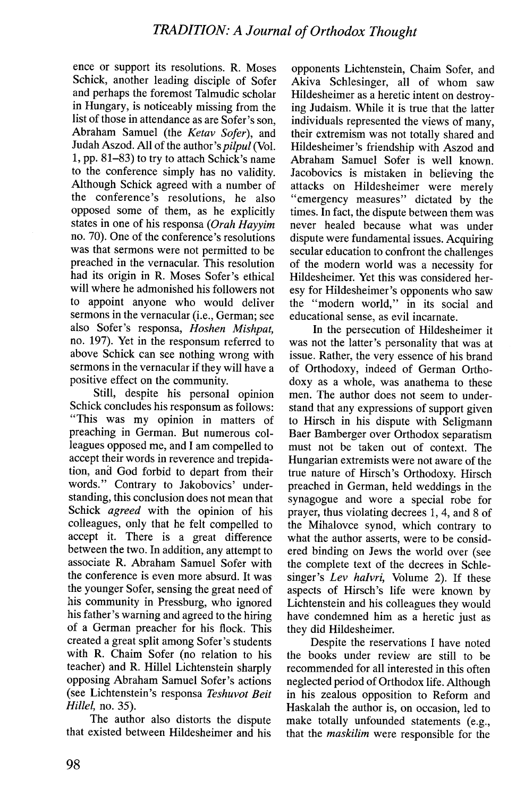ence or support its resolutions. R. Moses Schick, another leading disciple of Sofer and perhaps the foremost Talmudic scholar in Hungary, is noticeably missing from the list of those in attendance as arc Sofer's son, Abraham Samuel (the Ketav Sofer), and Judah Aszod. All of the author's pilpul (VoL. 1, pp. 81-83) to try to attach Schick's name to the conference simply has no validity. Although Schick agreed with a number of the conference's resolutions, he also opposed some of them, as he explicitly states in one of his responsa (Orah Hayyim no. 70). One of the conference's resolutions was that sermons were not permitted to be preached in the vernacular. This resolution had its origin in R. Moses Sofer's ethical will where he admonished his followers not to appoint anyone who would deliver sermons in the vernacular (i.e., German; see also Sofer's responsa, Hoshen Mishpat, no. 197). Yet in the responsum referred to above Schick can see nothing wrong with sermons in the vernacular if they will have a positive effect on the community.

Still, despite his personal opinion Schick concludes his responsum as follows: "This was my opinion in matters of preaching in German. But numerous colleagues opposed me, and I am compelled to accept their words in reverence and trepidation, and God forbid to depart from their words." Contrary to Jakobovics' understanding, this conclusion does not mean that Schick *agreed* with the opinion of his colleagues, only that he felt compelled to accept it. There is a great difference between the two. In addition, any attempt to associate R. Abraham Samuel Sofer with the conference is even more absurd. It was the younger Sofer, sensing the great need of his community in Pressburg, who ignored his father's warning and agreed to the hiring of a German preacher for his flock. This created a great split among Sofer's students with R. Chaim Sofer (no relation to his teacher) and R. Hilel Lichtenstein sharply opposing Abraham Samuel Sofer's actions (see Lichtenstein's responsa Teshuvot Beit Hillel, no. 35).

The author also distorts the dispute that existed between Hildesheimer and his

opponents Lichtenstein, Chaim Sofer, and Akiva Schlesinger, all of whom saw Hildesheimer as a heretic intent on destroying Judaism. While it is true that the latter individuals represented the views of many, their extremism was not totally shared and Hildesheimer's friendship with Aszod and Abraham Samuel Sofer is well known. Jacobovics is mistaken in believing the attacks on Hildesheimer were merely "emergency measures" dictated by the times. In fact, the dispute between them was never healed because what was under dispute were fundamental issues. Acquiring secular education to confront the challenges of the modern world was a necessity for Hildesheimer. Yet this was considered heresy for Hildesheimer's opponents who saw the "modern world," in its social and educational sense, as evil incarnate.

In the persecution of Hildesheimer it was not the latter's personality that was at issue. Rather, the very essence of his brand of Orthodoxy, indeed of German Orthodoxy as a whole, was anathema to these men. The author docs not seem to understand that any expressions of support given to Hirsch in his dispute with Seligmann Baer Bamberger over Orthodox separatism must not be taken out of context. The Hungarian extremists were not aware of the true nature of Hirsch's Orthodoxy. Hirsch preached in German, held weddings in the synagogue and wore a special robe for prayer, thus violating decrees 1, 4, and 8 of the Mihalovce synod, which contrary to what the author asserts, were to be considered binding on Jews the world over (see the complete text of the decrees in Schlesinger's Lev halvri, Volume 2). If these aspects of Hirsch's life were known by Lichtenstein and his colleagues they would have condemned him as a heretic just as they did Hildesheimer.

Despite the reservations I have noted the books under review are still to be recommended for all interested in this often neglected period of Orthodox life. Although in his zealous opposition to Reform and Haskalah the author is, on occasion, led to make totally unfounded statements (e.g., that the maskilim were responsible for the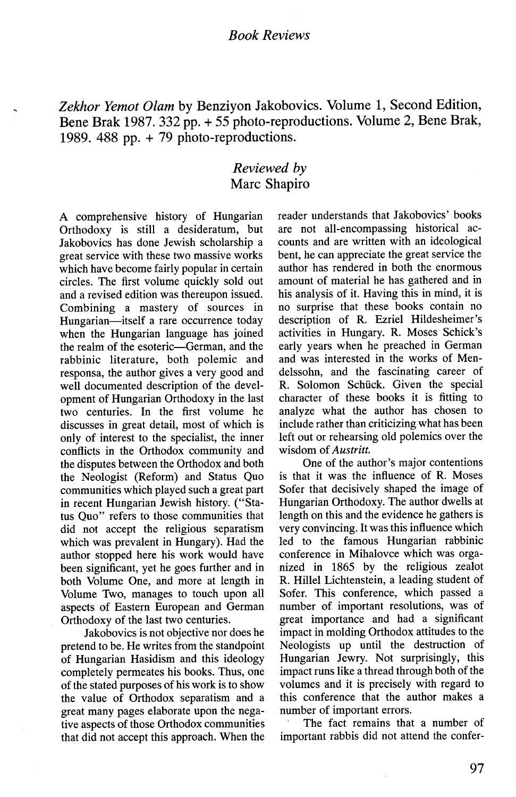#### Book Reviews

Zekhor Yemot Olam by Benziyon Jakobovics. Volume 1, Second Edition, Bene Brak 1987. 332 pp. + 55 photo-reproductions. Volume 2, Bene Brak, 1989. 488 pp. + 79 photo-rcproductions.

#### Reviewed by Marc Shapiro

A comprehensive history of Hungarian Orthodoxy is still a desideratum, but Jakobovics has done Jewish scholarship a great service with these two massive works which have become fairly popular in certain circles. The first volume quickly sold out and a revised edition was thereupon issued. Combining a mastery of sources in Hungarian-itself a rare occurrence today when the Hungarian language has joined the realm of the esoteric-German, and the rabbinic literature, both polemic and responsa, the author gives a very good and well documented description of the development of Hungarian Orthodoxy in the last two centuries. In the first volume he discusses in great detail, most of which is only of interest to the specialist, the inner conflicts in the Orthodox community and the disputes between the Orthodox and both the Neologist (Reform) and Status Quo communities which played such a great part in recent Hungarian Jewish history. ("Status Quo" refers to those communities that did not accept the religious separatism which was prevalent in Hungary). Had the author stopped here his work would have been significant, yet he goes further and in both Volume One, and more at length in Volume Two, manages to touch upon all aspects of Eastern European and German Orthodoxy of the last two centuries.

Jakobovics is not objective nor does he pretend to be. He writes from the standpoint of Hungarian Hasidism and this ideology completely permeates his books. Thus, one of the stated purposes of his work is to show the value of Orthodox separatism and a great many pages elaborate upon the negative aspects of those Orthodox communities that did not accept this approach. When the

reader understands that Jakobovics' books are not all-encompassing historical accounts and are written with an ideological bent, he can appreciate the great service the author has rendered in both the enormous amount of material he has gathered and in his analysis of it. Having this in mind, it is no surprise that these books contain no description of R. Ezriel Hildesheimer's activities in Hungary. R. Moses Schick's early years when he preached in German and was interested in the works of Mendelssohn, and the fascinating career of R. Solomon Schück. Given the special character of these books it is fitting to analyze what the author has chosen to include rather than criticizing what has been left out or rehearsing old polemics over the wisdom of Austritt.

One of the author's major contentions is that it was the influence of R. Moses Sofer that decisively shaped the image of Hungarian Orthodoxy. The author dwells at length on this and the evidence he gathers is very convincing. It was this influence which led to the famous Hungarian rabbinic conference in Mihalovce which was organized in 1865 by the religious zealot R. Hilel Lichtenstein, a leading student of Sofer. This conference, which passed a number of important resolutions, was of great importance and had a significant impact in molding Orthodox attitudes to the Neologists up until the destruction of Hungarian Jewry. Not surprisingly, this impact runs like a thread through both of the volumes and it is precisely with regard to this conference that the author makes a number of important errors.

The fact remains that a number of important rabbis did not attend the confer-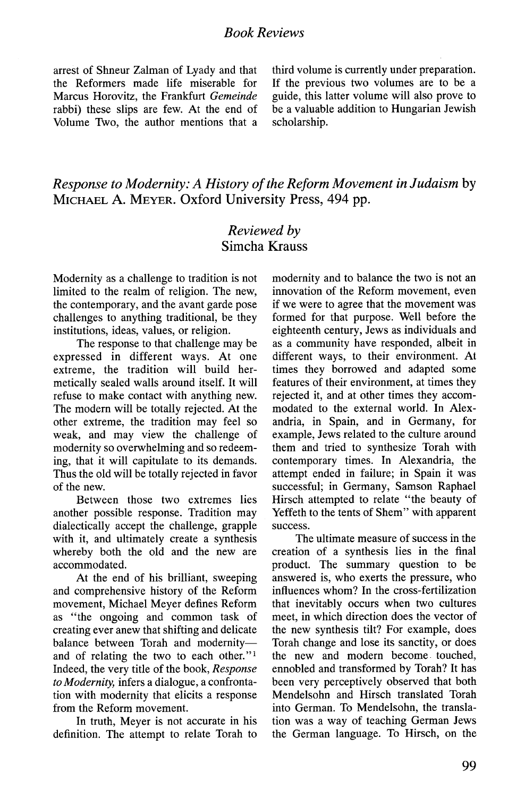arrest of Shneur Zalman of Lyady and that the Reformers made life miserable for Marcus Horovitz, the Frankfurt Gemeinde rabbi) these slips are few. At the end of Volume Two, the author mentions that a third volume is currently under preparation. If the previous two volumes are to be a guide, this latter volume will also prove to be a valuable addition to Hungarian Jewish scholarship.

## Response to Modernity: A History of the Reform Movement in Judaism by MICHAEL A. MEYER. Oxford University Press, 494 pp.

## Reviewed by Simcha Krauss

Modernity as a challenge to tradition is not limited to the realm of religion. The new, the contemporary, and the avant garde pose challenges to anything traditional, be they institutions, ideas, values, or religion.

The response to that challenge may be expressed in different ways. At one extreme, the tradition will build hermetically sealed walls around itself. It wil refuse to make contact with anything new. The modern will be totally rejected. At the other extreme, the tradition may feel so weak, and may view the challenge of modernity so overwhelming and so redeeming, that it will capitulate to its demands. Thus the old will be totally rejected in favor of the new.

Between those two extremes lies another possible response. Tradition may dialectically accept the challenge, grapple with it, and ultimately create a synthesis whereby both the old and the new are accommodated.

At the end of his brilliant, sweeping and comprehensive history of the Reform movement, Michael Meyer defines Reform as "the ongoing and common task of creating ever anew that shifting and delicate balance between Torah and modernityand of relating the two to each other."<sup>1</sup> Indeed, the very title of the book, Response to Modernity, infers a dialogue, a confrontation with modernity that elicits a response from the Reform movement.

In truth, Meyer is not accurate in his definition. The attempt to relate Torah to modernity and to balance the two is not an innovation of the Reform movement, even if we were to agree that the movement was formed for that purpose. Well before the eighteenth century, Jews as individuals and as a community have responded, albeit in different ways, to their environment. At times they borrowed and adapted some features of their environment, at times they rejected it, and at other times they accommodated to the external world. In Alexandria, in Spain, and in Germany, for example, Jews related to the culture around them and tried to synthesize Torah with contemporary times. In Alexandria, the attempt ended in failure; in Spain it was successful; in Germany, Samson Raphael Hirsch attempted to relate "the beauty of Yeffeth to the tents of Shem" with apparent success.

The ultimate measure of success in the creation of a synthesis lies in the final product. The summary question to be answered is, who exerts the pressure, who influences whom? In the cross-fertilization that inevitably occurs when two cultures meet, in which direction does the vector of the new synthesis tilt? For example, does Torah change and lose its sanctity, or docs the new and modern become touched, ennobled and transformed by Torah? It has been very perceptively observed that both Mendelsohn and Hirsch translated Torah into German. To Mendelsohn, the translation was a way of teaching German Jews the German language. To Hirsch, on the